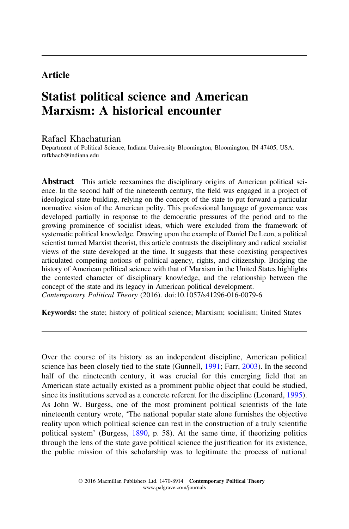# Article

# Statist political science and American Marxism: A historical encounter

## Rafael Khachaturian

Department of Political Science, Indiana University Bloomington, Bloomington, IN 47405, USA. rafkhach@indiana.edu

Abstract This article reexamines the disciplinary origins of American political science. In the second half of the nineteenth century, the field was engaged in a project of ideological state-building, relying on the concept of the state to put forward a particular normative vision of the American polity. This professional language of governance was developed partially in response to the democratic pressures of the period and to the growing prominence of socialist ideas, which were excluded from the framework of systematic political knowledge. Drawing upon the example of Daniel De Leon, a political scientist turned Marxist theorist, this article contrasts the disciplinary and radical socialist views of the state developed at the time. It suggests that these coexisting perspectives articulated competing notions of political agency, rights, and citizenship. Bridging the history of American political science with that of Marxism in the United States highlights the contested character of disciplinary knowledge, and the relationship between the concept of the state and its legacy in American political development. Contemporary Political Theory (2016). doi:10.1057/s41296-016-0079-6

Keywords: the state; history of political science; Marxism; socialism; United States

Over the course of its history as an independent discipline, American political science has been closely tied to the state (Gunnell, [1991;](#page-19-0) Farr, [2003\)](#page-18-0). In the second half of the nineteenth century, it was crucial for this emerging field that an American state actually existed as a prominent public object that could be studied, since its institutions served as a concrete referent for the discipline (Leonard, [1995](#page-19-0)). As John W. Burgess, one of the most prominent political scientists of the late nineteenth century wrote, 'The national popular state alone furnishes the objective reality upon which political science can rest in the construction of a truly scientific political system' (Burgess, [1890](#page-17-0), p. 58). At the same time, if theorizing politics through the lens of the state gave political science the justification for its existence, the public mission of this scholarship was to legitimate the process of national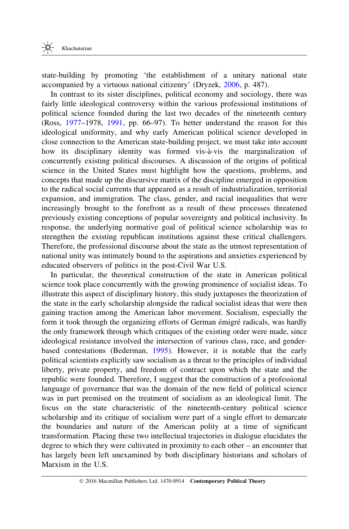state-building by promoting 'the establishment of a unitary national state accompanied by a virtuous national citizenry' (Dryzek, [2006,](#page-18-0) p. 487).

In contrast to its sister disciplines, political economy and sociology, there was fairly little ideological controversy within the various professional institutions of political science founded during the last two decades of the nineteenth century (Ross, [1977](#page-20-0)–1978, [1991,](#page-20-0) pp. 66–97). To better understand the reason for this ideological uniformity, and why early American political science developed in close connection to the American state-building project, we must take into account how its disciplinary identity was formed vis-à-vis the marginalization of concurrently existing political discourses. A discussion of the origins of political science in the United States must highlight how the questions, problems, and concepts that made up the discursive matrix of the discipline emerged in opposition to the radical social currents that appeared as a result of industrialization, territorial expansion, and immigration. The class, gender, and racial inequalities that were increasingly brought to the forefront as a result of these processes threatened previously existing conceptions of popular sovereignty and political inclusivity. In response, the underlying normative goal of political science scholarship was to strengthen the existing republican institutions against these critical challengers. Therefore, the professional discourse about the state as the utmost representation of national unity was intimately bound to the aspirations and anxieties experienced by educated observers of politics in the post-Civil War U.S.

In particular, the theoretical construction of the state in American political science took place concurrently with the growing prominence of socialist ideas. To illustrate this aspect of disciplinary history, this study juxtaposes the theorization of the state in the early scholarship alongside the radical socialist ideas that were then gaining traction among the American labor movement. Socialism, especially the form it took through the organizing efforts of German émigré radicals, was hardly the only framework through which critiques of the existing order were made, since ideological resistance involved the intersection of various class, race, and genderbased contestations (Bederman, [1995\)](#page-17-0). However, it is notable that the early political scientists explicitly saw socialism as a threat to the principles of individual liberty, private property, and freedom of contract upon which the state and the republic were founded. Therefore, I suggest that the construction of a professional language of governance that was the domain of the new field of political science was in part premised on the treatment of socialism as an ideological limit. The focus on the state characteristic of the nineteenth-century political science scholarship and its critique of socialism were part of a single effort to demarcate the boundaries and nature of the American polity at a time of significant transformation. Placing these two intellectual trajectories in dialogue elucidates the degree to which they were cultivated in proximity to each other – an encounter that has largely been left unexamined by both disciplinary historians and scholars of Marxism in the U.S.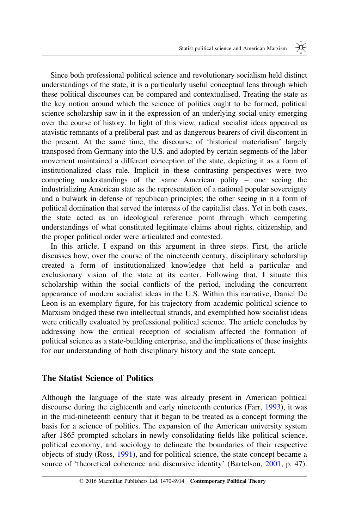Since both professional political science and revolutionary socialism held distinct understandings of the state, it is a particularly useful conceptual lens through which these political discourses can be compared and contextualised. Treating the state as the key notion around which the science of politics ought to be formed, political science scholarship saw in it the expression of an underlying social unity emerging over the course of history. In light of this view, radical socialist ideas appeared as atavistic remnants of a preliberal past and as dangerous bearers of civil discontent in the present. At the same time, the discourse of 'historical materialism' largely transposed from Germany into the U.S. and adopted by certain segments of the labor movement maintained a different conception of the state, depicting it as a form of institutionalized class rule. Implicit in these contrasting perspectives were two competing understandings of the same American polity – one seeing the industrializing American state as the representation of a national popular sovereignty and a bulwark in defense of republican principles; the other seeing in it a form of political domination that served the interests of the capitalist class. Yet in both cases, the state acted as an ideological reference point through which competing understandings of what constituted legitimate claims about rights, citizenship, and the proper political order were articulated and contested.

In this article, I expand on this argument in three steps. First, the article discusses how, over the course of the nineteenth century, disciplinary scholarship created a form of institutionalized knowledge that held a particular and exclusionary vision of the state at its center. Following that, I situate this scholarship within the social conflicts of the period, including the concurrent appearance of modern socialist ideas in the U.S. Within this narrative, Daniel De Leon is an exemplary figure, for his trajectory from academic political science to Marxism bridged these two intellectual strands, and exemplified how socialist ideas were critically evaluated by professional political science. The article concludes by addressing how the critical reception of socialism affected the formation of political science as a state-building enterprise, and the implications of these insights for our understanding of both disciplinary history and the state concept.

## The Statist Science of Politics

Although the language of the state was already present in American political discourse during the eighteenth and early nineteenth centuries (Farr, [1993\)](#page-18-0), it was in the mid-nineteenth century that it began to be treated as a concept forming the basis for a science of politics. The expansion of the American university system after 1865 prompted scholars in newly consolidating fields like political science, political economy, and sociology to delineate the boundaries of their respective objects of study (Ross, [1991](#page-20-0)), and for political science, the state concept became a source of 'theoretical coherence and discursive identity' (Bartelson, [2001](#page-17-0), p. 47).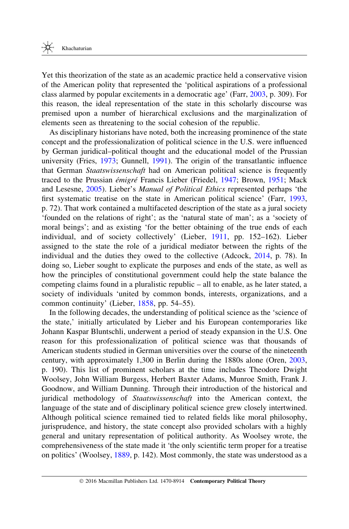Yet this theorization of the state as an academic practice held a conservative vision of the American polity that represented the 'political aspirations of a professional class alarmed by popular excitements in a democratic age' (Farr, [2003,](#page-18-0) p. 309). For this reason, the ideal representation of the state in this scholarly discourse was premised upon a number of hierarchical exclusions and the marginalization of elements seen as threatening to the social cohesion of the republic.

As disciplinary historians have noted, both the increasing prominence of the state concept and the professionalization of political science in the U.S. were influenced by German juridical–political thought and the educational model of the Prussian university (Fries, [1973](#page-19-0); Gunnell, [1991\)](#page-19-0). The origin of the transatlantic influence that German Staatswissenschaft had on American political science is frequently traced to the Prussian *émigré* Francis Lieber (Friedel, [1947;](#page-19-0) Brown, [1951;](#page-17-0) Mack and Lesesne, [2005\)](#page-20-0). Lieber's Manual of Political Ethics represented perhaps 'the first systematic treatise on the state in American political science' (Farr, [1993](#page-18-0), p. 72). That work contained a multifaceted description of the state as a jural society 'founded on the relations of right'; as the 'natural state of man'; as a 'society of moral beings'; and as existing 'for the better obtaining of the true ends of each individual, and of society collectively' (Lieber, [1911](#page-19-0), pp. 152–162). Lieber assigned to the state the role of a juridical mediator between the rights of the individual and the duties they owed to the collective (Adcock, [2014](#page-17-0), p. 78). In doing so, Lieber sought to explicate the purposes and ends of the state, as well as how the principles of constitutional government could help the state balance the competing claims found in a pluralistic republic – all to enable, as he later stated, a society of individuals 'united by common bonds, interests, organizations, and a common continuity' (Lieber, [1858](#page-19-0), pp. 54–55).

In the following decades, the understanding of political science as the 'science of the state,' initially articulated by Lieber and his European contemporaries like Johann Kaspar Bluntschli, underwent a period of steady expansion in the U.S. One reason for this professionalization of political science was that thousands of American students studied in German universities over the course of the nineteenth century, with approximately 1,300 in Berlin during the 1880s alone (Oren, [2003](#page-20-0), p. 190). This list of prominent scholars at the time includes Theodore Dwight Woolsey, John William Burgess, Herbert Baxter Adams, Munroe Smith, Frank J. Goodnow, and William Dunning. Through their introduction of the historical and juridical methodology of *Staatswissenschaft* into the American context, the language of the state and of disciplinary political science grew closely intertwined. Although political science remained tied to related fields like moral philosophy, jurisprudence, and history, the state concept also provided scholars with a highly general and unitary representation of political authority. As Woolsey wrote, the comprehensiveness of the state made it 'the only scientific term proper for a treatise on politics' (Woolsey, [1889,](#page-20-0) p. 142). Most commonly, the state was understood as a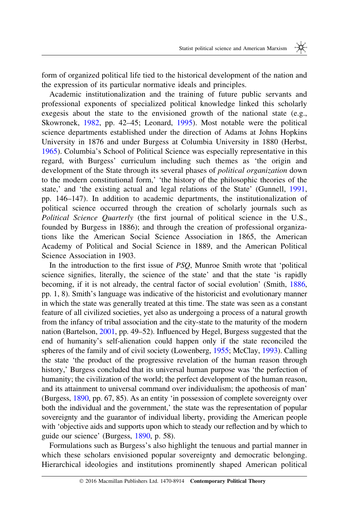form of organized political life tied to the historical development of the nation and the expression of its particular normative ideals and principles.

Academic institutionalization and the training of future public servants and professional exponents of specialized political knowledge linked this scholarly exegesis about the state to the envisioned growth of the national state (e.g., Skowronek, [1982](#page-20-0), pp. 42–45; Leonard, [1995\)](#page-19-0). Most notable were the political science departments established under the direction of Adams at Johns Hopkins University in 1876 and under Burgess at Columbia University in 1880 (Herbst, [1965](#page-19-0)). Columbia's School of Political Science was especially representative in this regard, with Burgess' curriculum including such themes as 'the origin and development of the State through its several phases of *political organization* down to the modern constitutional form,' 'the history of the philosophic theories of the state,' and 'the existing actual and legal relations of the State' (Gunnell, [1991](#page-19-0), pp. 146–147). In addition to academic departments, the institutionalization of political science occurred through the creation of scholarly journals such as Political Science Ouarterly (the first journal of political science in the U.S., founded by Burgess in 1886); and through the creation of professional organizations like the American Social Science Association in 1865, the American Academy of Political and Social Science in 1889, and the American Political Science Association in 1903.

In the introduction to the first issue of PSQ, Munroe Smith wrote that 'political science signifies, literally, the science of the state' and that the state 'is rapidly becoming, if it is not already, the central factor of social evolution' (Smith, [1886](#page-20-0), pp. 1, 8). Smith's language was indicative of the historicist and evolutionary manner in which the state was generally treated at this time. The state was seen as a constant feature of all civilized societies, yet also as undergoing a process of a natural growth from the infancy of tribal association and the city-state to the maturity of the modern nation (Bartelson, [2001,](#page-17-0) pp. 49–52). Influenced by Hegel, Burgess suggested that the end of humanity's self-alienation could happen only if the state reconciled the spheres of the family and of civil society (Lowenberg, [1955](#page-19-0); McClay, [1993\)](#page-20-0). Calling the state 'the product of the progressive revelation of the human reason through history,' Burgess concluded that its universal human purpose was 'the perfection of humanity; the civilization of the world; the perfect development of the human reason, and its attainment to universal command over individualism; the apotheosis of man' (Burgess, [1890,](#page-17-0) pp. 67, 85). As an entity 'in possession of complete sovereignty over both the individual and the government,' the state was the representation of popular sovereignty and the guarantor of individual liberty, providing the American people with 'objective aids and supports upon which to steady our reflection and by which to guide our science' (Burgess, [1890](#page-17-0), p. 58).

Formulations such as Burgess's also highlight the tenuous and partial manner in which these scholars envisioned popular sovereignty and democratic belonging. Hierarchical ideologies and institutions prominently shaped American political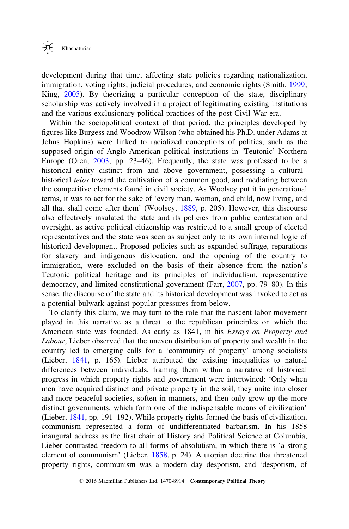development during that time, affecting state policies regarding nationalization, immigration, voting rights, judicial procedures, and economic rights (Smith, [1999](#page-20-0); King, [2005\)](#page-19-0). By theorizing a particular conception of the state, disciplinary scholarship was actively involved in a project of legitimating existing institutions and the various exclusionary political practices of the post-Civil War era.

Within the sociopolitical context of that period, the principles developed by figures like Burgess and Woodrow Wilson (who obtained his Ph.D. under Adams at Johns Hopkins) were linked to racialized conceptions of politics, such as the supposed origin of Anglo-American political institutions in 'Teutonic' Northern Europe (Oren, [2003](#page-20-0), pp. 23–46). Frequently, the state was professed to be a historical entity distinct from and above government, possessing a cultural– historical telos toward the cultivation of a common good, and mediating between the competitive elements found in civil society. As Woolsey put it in generational terms, it was to act for the sake of 'every man, woman, and child, now living, and all that shall come after them' (Woolsey, [1889,](#page-20-0) p. 205). However, this discourse also effectively insulated the state and its policies from public contestation and oversight, as active political citizenship was restricted to a small group of elected representatives and the state was seen as subject only to its own internal logic of historical development. Proposed policies such as expanded suffrage, reparations for slavery and indigenous dislocation, and the opening of the country to immigration, were excluded on the basis of their absence from the nation's Teutonic political heritage and its principles of individualism, representative democracy, and limited constitutional government (Farr, [2007,](#page-18-0) pp. 79–80). In this sense, the discourse of the state and its historical development was invoked to act as a potential bulwark against popular pressures from below.

To clarify this claim, we may turn to the role that the nascent labor movement played in this narrative as a threat to the republican principles on which the American state was founded. As early as 1841, in his *Essays on Property and* Labour, Lieber observed that the uneven distribution of property and wealth in the country led to emerging calls for a 'community of property' among socialists (Lieber, [1841,](#page-19-0) p. 165). Lieber attributed the existing inequalities to natural differences between individuals, framing them within a narrative of historical progress in which property rights and government were intertwined: 'Only when men have acquired distinct and private property in the soil, they unite into closer and more peaceful societies, soften in manners, and then only grow up the more distinct governments, which form one of the indispensable means of civilization' (Lieber, [1841](#page-19-0), pp. 191–192). While property rights formed the basis of civilization, communism represented a form of undifferentiated barbarism. In his 1858 inaugural address as the first chair of History and Political Science at Columbia, Lieber contrasted freedom to all forms of absolutism, in which there is 'a strong element of communism' (Lieber, [1858,](#page-19-0) p. 24). A utopian doctrine that threatened property rights, communism was a modern day despotism, and 'despotism, of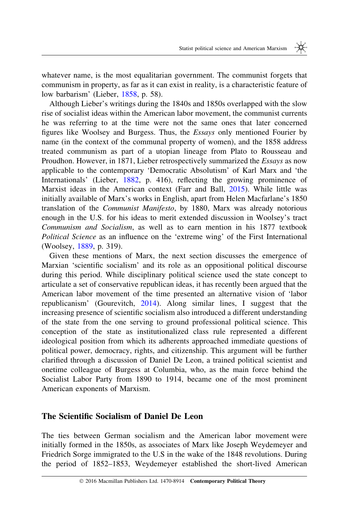whatever name, is the most equalitarian government. The communist forgets that communism in property, as far as it can exist in reality, is a characteristic feature of low barbarism' (Lieber, [1858,](#page-19-0) p. 58).

Although Lieber's writings during the 1840s and 1850s overlapped with the slow rise of socialist ideas within the American labor movement, the communist currents he was referring to at the time were not the same ones that later concerned figures like Woolsey and Burgess. Thus, the Essays only mentioned Fourier by name (in the context of the communal property of women), and the 1858 address treated communism as part of a utopian lineage from Plato to Rousseau and Proudhon. However, in 1871, Lieber retrospectively summarized the Essays as now applicable to the contemporary 'Democratic Absolutism' of Karl Marx and 'the Internationals' (Lieber, [1882,](#page-19-0) p. 416), reflecting the growing prominence of Marxist ideas in the American context (Farr and Ball, [2015\)](#page-18-0). While little was initially available of Marx's works in English, apart from Helen Macfarlane's 1850 translation of the Communist Manifesto, by 1880, Marx was already notorious enough in the U.S. for his ideas to merit extended discussion in Woolsey's tract Communism and Socialism, as well as to earn mention in his 1877 textbook Political Science as an influence on the 'extreme wing' of the First International (Woolsey, [1889](#page-20-0), p. 319).

Given these mentions of Marx, the next section discusses the emergence of Marxian 'scientific socialism' and its role as an oppositional political discourse during this period. While disciplinary political science used the state concept to articulate a set of conservative republican ideas, it has recently been argued that the American labor movement of the time presented an alternative vision of 'labor republicanism' (Gourevitch, [2014](#page-19-0)). Along similar lines, I suggest that the increasing presence of scientific socialism also introduced a different understanding of the state from the one serving to ground professional political science. This conception of the state as institutionalized class rule represented a different ideological position from which its adherents approached immediate questions of political power, democracy, rights, and citizenship. This argument will be further clarified through a discussion of Daniel De Leon, a trained political scientist and onetime colleague of Burgess at Columbia, who, as the main force behind the Socialist Labor Party from 1890 to 1914, became one of the most prominent American exponents of Marxism.

#### The Scientific Socialism of Daniel De Leon

The ties between German socialism and the American labor movement were initially formed in the 1850s, as associates of Marx like Joseph Weydemeyer and Friedrich Sorge immigrated to the U.S in the wake of the 1848 revolutions. During the period of 1852–1853, Weydemeyer established the short-lived American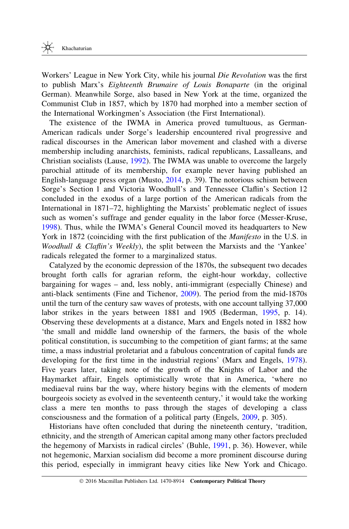Workers' League in New York City, while his journal Die Revolution was the first to publish Marx's Eighteenth Brumaire of Louis Bonaparte (in the original German). Meanwhile Sorge, also based in New York at the time, organized the Communist Club in 1857, which by 1870 had morphed into a member section of the International Workingmen's Association (the First International).

The existence of the IWMA in America proved tumultuous, as German-American radicals under Sorge's leadership encountered rival progressive and radical discourses in the American labor movement and clashed with a diverse membership including anarchists, feminists, radical republicans, Lassalleans, and Christian socialists (Lause, [1992](#page-19-0)). The IWMA was unable to overcome the largely parochial attitude of its membership, for example never having published an English-language press organ (Musto, [2014,](#page-20-0) p. 39). The notorious schism between Sorge's Section 1 and Victoria Woodhull's and Tennessee Claflin's Section 12 concluded in the exodus of a large portion of the American radicals from the International in 1871–72, highlighting the Marxists' problematic neglect of issues such as women's suffrage and gender equality in the labor force (Messer-Kruse, [1998](#page-20-0)). Thus, while the IWMA's General Council moved its headquarters to New York in 1872 (coinciding with the first publication of the *Manifesto* in the U.S. in Woodhull & Claflin's Weekly), the split between the Marxists and the 'Yankee' radicals relegated the former to a marginalized status.

Catalyzed by the economic depression of the 1870s, the subsequent two decades brought forth calls for agrarian reform, the eight-hour workday, collective bargaining for wages – and, less nobly, anti-immigrant (especially Chinese) and anti-black sentiments (Fine and Tichenor, [2009\)](#page-18-0). The period from the mid-1870s until the turn of the century saw waves of protests, with one account tallying 37,000 labor strikes in the years between 1881 and 1905 (Bederman, [1995](#page-17-0), p. 14). Observing these developments at a distance, Marx and Engels noted in 1882 how 'the small and middle land ownership of the farmers, the basis of the whole political constitution, is succumbing to the competition of giant farms; at the same time, a mass industrial proletariat and a fabulous concentration of capital funds are developing for the first time in the industrial regions' (Marx and Engels, [1978](#page-20-0)). Five years later, taking note of the growth of the Knights of Labor and the Haymarket affair, Engels optimistically wrote that in America, 'where no mediaeval ruins bar the way, where history begins with the elements of modern bourgeois society as evolved in the seventeenth century,' it would take the working class a mere ten months to pass through the stages of developing a class consciousness and the formation of a political party (Engels, [2009,](#page-18-0) p. 305).

Historians have often concluded that during the nineteenth century, 'tradition, ethnicity, and the strength of American capital among many other factors precluded the hegemony of Marxists in radical circles' (Buhle, [1991,](#page-17-0) p. 36). However, while not hegemonic, Marxian socialism did become a more prominent discourse during this period, especially in immigrant heavy cities like New York and Chicago.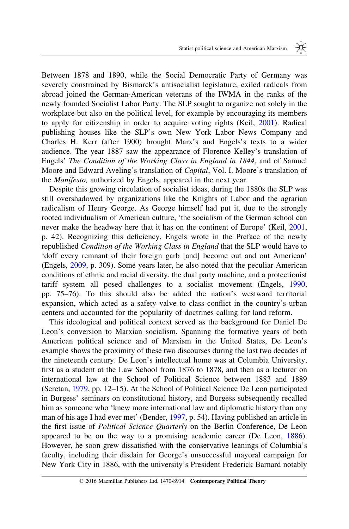Between 1878 and 1890, while the Social Democratic Party of Germany was severely constrained by Bismarck's antisocialist legislature, exiled radicals from abroad joined the German-American veterans of the IWMA in the ranks of the newly founded Socialist Labor Party. The SLP sought to organize not solely in the workplace but also on the political level, for example by encouraging its members to apply for citizenship in order to acquire voting rights (Keil, [2001\)](#page-19-0). Radical publishing houses like the SLP's own New York Labor News Company and Charles H. Kerr (after 1900) brought Marx's and Engels's texts to a wider audience. The year 1887 saw the appearance of Florence Kelley's translation of Engels' The Condition of the Working Class in England in 1844, and of Samuel Moore and Edward Aveling's translation of *Capital*, Vol. I. Moore's translation of the Manifesto, authorized by Engels, appeared in the next year.

Despite this growing circulation of socialist ideas, during the 1880s the SLP was still overshadowed by organizations like the Knights of Labor and the agrarian radicalism of Henry George. As George himself had put it, due to the strongly rooted individualism of American culture, 'the socialism of the German school can never make the headway here that it has on the continent of Europe' (Keil, [2001](#page-19-0), p. 42). Recognizing this deficiency, Engels wrote in the Preface of the newly republished Condition of the Working Class in England that the SLP would have to 'doff every remnant of their foreign garb [and] become out and out American' (Engels, [2009,](#page-18-0) p. 309). Some years later, he also noted that the peculiar American conditions of ethnic and racial diversity, the dual party machine, and a protectionist tariff system all posed challenges to a socialist movement (Engels, [1990](#page-18-0), pp. 75–76). To this should also be added the nation's westward territorial expansion, which acted as a safety valve to class conflict in the country's urban centers and accounted for the popularity of doctrines calling for land reform.

This ideological and political context served as the background for Daniel De Leon's conversion to Marxian socialism. Spanning the formative years of both American political science and of Marxism in the United States, De Leon's example shows the proximity of these two discourses during the last two decades of the nineteenth century. De Leon's intellectual home was at Columbia University, first as a student at the Law School from 1876 to 1878, and then as a lecturer on international law at the School of Political Science between 1883 and 1889 (Seretan, [1979,](#page-20-0) pp. 12–15). At the School of Political Science De Leon participated in Burgess' seminars on constitutional history, and Burgess subsequently recalled him as someone who 'knew more international law and diplomatic history than any man of his age I had ever met' (Bender, [1997](#page-17-0), p. 54). Having published an article in the first issue of Political Science Quarterly on the Berlin Conference, De Leon appeared to be on the way to a promising academic career (De Leon, [1886](#page-18-0)). However, he soon grew dissatisfied with the conservative leanings of Columbia's faculty, including their disdain for George's unsuccessful mayoral campaign for New York City in 1886, with the university's President Frederick Barnard notably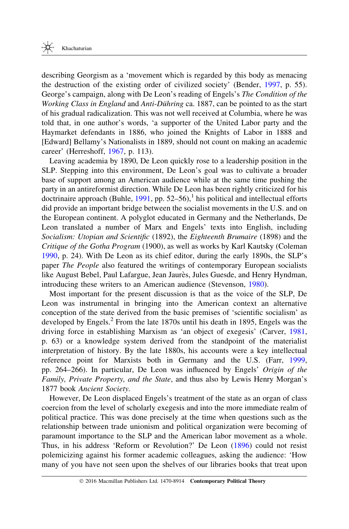describing Georgism as a 'movement which is regarded by this body as menacing the destruction of the existing order of civilized society' (Bender, [1997,](#page-17-0) p. 55). George's campaign, along with De Leon's reading of Engels's The Condition of the Working Class in England and Anti-Dühring ca. 1887, can be pointed to as the start of his gradual radicalization. This was not well received at Columbia, where he was told that, in one author's words, 'a supporter of the United Labor party and the Haymarket defendants in 1886, who joined the Knights of Labor in 1888 and [Edward] Bellamy's Nationalists in 1889, should not count on making an academic career' (Herreshoff, [1967,](#page-19-0) p. 113).

Leaving academia by 1890, De Leon quickly rose to a leadership position in the SLP. Stepping into this environment, De Leon's goal was to cultivate a broader base of support among an American audience while at the same time pushing the party in an antireformist direction. While De Leon has been rightly criticized for his doctrinaire approach (Buhle, [1991,](#page-17-0) pp. 52–56),<sup>1</sup> his political and intellectual efforts did provide an important bridge between the socialist movements in the U.S. and on the European continent. A polyglot educated in Germany and the Netherlands, De Leon translated a number of Marx and Engels' texts into English, including Socialism: Utopian and Scientific (1892), the Eighteenth Brumaire (1898) and the Critique of the Gotha Program (1900), as well as works by Karl Kautsky (Coleman [1990](#page-18-0), p. 24). With De Leon as its chief editor, during the early 1890s, the SLP's paper The People also featured the writings of contemporary European socialists like August Bebel, Paul Lafargue, Jean Jaurès, Jules Guesde, and Henry Hyndman, introducing these writers to an American audience (Stevenson, [1980\)](#page-20-0).

Most important for the present discussion is that as the voice of the SLP, De Leon was instrumental in bringing into the American context an alternative conception of the state derived from the basic premises of 'scientific socialism' as developed by Engels.<sup>2</sup> From the late 1870s until his death in 1895, Engels was the driving force in establishing Marxism as 'an object of exegesis' (Carver, [1981](#page-17-0), p. 63) or a knowledge system derived from the standpoint of the materialist interpretation of history. By the late 1880s, his accounts were a key intellectual reference point for Marxists both in Germany and the U.S. (Farr, [1999](#page-18-0), pp. 264–266). In particular, De Leon was influenced by Engels' Origin of the Family, Private Property, and the State, and thus also by Lewis Henry Morgan's 1877 book Ancient Society.

However, De Leon displaced Engels's treatment of the state as an organ of class coercion from the level of scholarly exegesis and into the more immediate realm of political practice. This was done precisely at the time when questions such as the relationship between trade unionism and political organization were becoming of paramount importance to the SLP and the American labor movement as a whole. Thus, in his address 'Reform or Revolution?' De Leon [\(1896](#page-18-0)) could not resist polemicizing against his former academic colleagues, asking the audience: 'How many of you have not seen upon the shelves of our libraries books that treat upon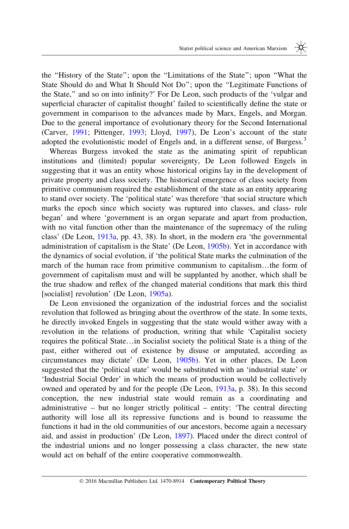the ''History of the State''; upon the ''Limitations of the State''; upon ''What the State Should do and What It Should Not Do''; upon the ''Legitimate Functions of the State,'' and so on into infinity?' For De Leon, such products of the 'vulgar and superficial character of capitalist thought' failed to scientifically define the state or government in comparison to the advances made by Marx, Engels, and Morgan. Due to the general importance of evolutionary theory for the Second International (Carver, [1991](#page-17-0); Pittenger, [1993](#page-20-0); Lloyd, [1997](#page-19-0)), De Leon's account of the state adopted the evolutionistic model of Engels and, in a different sense, of Burgess.<sup>3</sup>

Whereas Burgess invoked the state as the animating spirit of republican institutions and (limited) popular sovereignty, De Leon followed Engels in suggesting that it was an entity whose historical origins lay in the development of private property and class society. The historical emergence of class society from primitive communism required the establishment of the state as an entity appearing to stand over society. The 'political state' was therefore 'that social structure which marks the epoch since which society was ruptured into classes, and class- rule began' and where 'government is an organ separate and apart from production, with no vital function other than the maintenance of the supremacy of the ruling class' (De Leon, [1913a,](#page-18-0) pp. 43, 38). In short, in the modern era 'the governmental administration of capitalism is the State' (De Leon, [1905b\)](#page-18-0). Yet in accordance with the dynamics of social evolution, if 'the political State marks the culmination of the march of the human race from primitive communism to capitalism…the form of government of capitalism must and will be supplanted by another, which shall be the true shadow and reflex of the changed material conditions that mark this third [socialist] revolution' (De Leon, [1905a](#page-18-0)).

De Leon envisioned the organization of the industrial forces and the socialist revolution that followed as bringing about the overthrow of the state. In some texts, he directly invoked Engels in suggesting that the state would wither away with a revolution in the relations of production, writing that while 'Capitalist society requires the political State…in Socialist society the political State is a thing of the past, either withered out of existence by disuse or amputated, according as circumstances may dictate' (De Leon, [1905b](#page-18-0)). Yet in other places, De Leon suggested that the 'political state' would be substituted with an 'industrial state' or 'Industrial Social Order' in which the means of production would be collectively owned and operated by and for the people (De Leon, [1913a,](#page-18-0) p. 38). In this second conception, the new industrial state would remain as a coordinating and administrative – but no longer strictly political – entity: 'The central directing authority will lose all its repressive functions and is bound to reassume the functions it had in the old communities of our ancestors, become again a necessary aid, and assist in production' (De Leon, [1897](#page-18-0)). Placed under the direct control of the industrial unions and no longer possessing a class character, the new state would act on behalf of the entire cooperative commonwealth.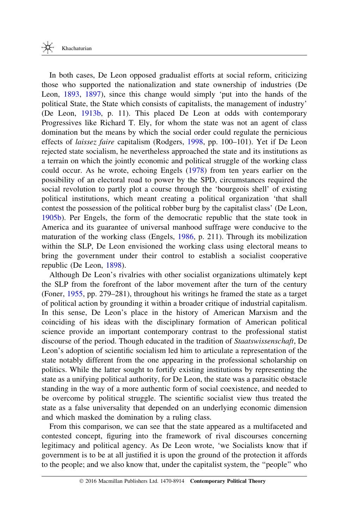In both cases, De Leon opposed gradualist efforts at social reform, criticizing those who supported the nationalization and state ownership of industries (De Leon, [1893](#page-18-0), [1897](#page-18-0)), since this change would simply 'put into the hands of the political State, the State which consists of capitalists, the management of industry' (De Leon, [1913b](#page-18-0), p. 11). This placed De Leon at odds with contemporary Progressives like Richard T. Ely, for whom the state was not an agent of class domination but the means by which the social order could regulate the pernicious effects of laissez faire capitalism (Rodgers, [1998,](#page-20-0) pp. 100–101). Yet if De Leon rejected state socialism, he nevertheless approached the state and its institutions as a terrain on which the jointly economic and political struggle of the working class could occur. As he wrote, echoing Engels [\(1978](#page-18-0)) from ten years earlier on the possibility of an electoral road to power by the SPD, circumstances required the social revolution to partly plot a course through the 'bourgeois shell' of existing political institutions, which meant creating a political organization 'that shall contest the possession of the political robber burg by the capitalist class' (De Leon, [1905b](#page-18-0)). Per Engels, the form of the democratic republic that the state took in America and its guarantee of universal manhood suffrage were conducive to the maturation of the working class (Engels, [1986,](#page-18-0) p. 211). Through its mobilization within the SLP, De Leon envisioned the working class using electoral means to bring the government under their control to establish a socialist cooperative republic (De Leon, [1898](#page-18-0)).

Although De Leon's rivalries with other socialist organizations ultimately kept the SLP from the forefront of the labor movement after the turn of the century (Foner, [1955](#page-18-0), pp. 279–281), throughout his writings he framed the state as a target of political action by grounding it within a broader critique of industrial capitalism. In this sense, De Leon's place in the history of American Marxism and the coinciding of his ideas with the disciplinary formation of American political science provide an important contemporary contrast to the professional statist discourse of the period. Though educated in the tradition of Staatswissenschaft, De Leon's adoption of scientific socialism led him to articulate a representation of the state notably different from the one appearing in the professional scholarship on politics. While the latter sought to fortify existing institutions by representing the state as a unifying political authority, for De Leon, the state was a parasitic obstacle standing in the way of a more authentic form of social coexistence, and needed to be overcome by political struggle. The scientific socialist view thus treated the state as a false universality that depended on an underlying economic dimension and which masked the domination by a ruling class.

From this comparison, we can see that the state appeared as a multifaceted and contested concept, figuring into the framework of rival discourses concerning legitimacy and political agency. As De Leon wrote, 'we Socialists know that if government is to be at all justified it is upon the ground of the protection it affords to the people; and we also know that, under the capitalist system, the ''people'' who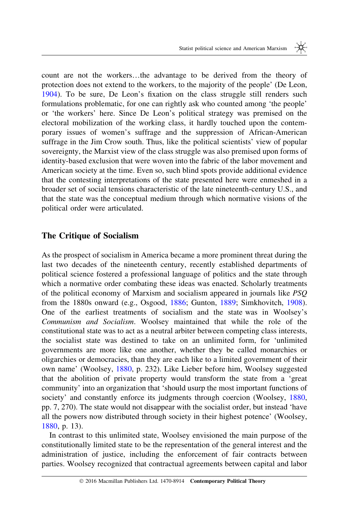count are not the workers…the advantage to be derived from the theory of protection does not extend to the workers, to the majority of the people' (De Leon, [1904](#page-18-0)). To be sure, De Leon's fixation on the class struggle still renders such formulations problematic, for one can rightly ask who counted among 'the people' or 'the workers' here. Since De Leon's political strategy was premised on the electoral mobilization of the working class, it hardly touched upon the contemporary issues of women's suffrage and the suppression of African-American suffrage in the Jim Crow south. Thus, like the political scientists' view of popular sovereignty, the Marxist view of the class struggle was also premised upon forms of identity-based exclusion that were woven into the fabric of the labor movement and American society at the time. Even so, such blind spots provide additional evidence that the contesting interpretations of the state presented here were enmeshed in a broader set of social tensions characteristic of the late nineteenth-century U.S., and that the state was the conceptual medium through which normative visions of the political order were articulated.

#### The Critique of Socialism

As the prospect of socialism in America became a more prominent threat during the last two decades of the nineteenth century, recently established departments of political science fostered a professional language of politics and the state through which a normative order combating these ideas was enacted. Scholarly treatments of the political economy of Marxism and socialism appeared in journals like PSQ from the 1880s onward (e.g., Osgood, [1886](#page-20-0); Gunton, [1889](#page-19-0); Simkhovitch, [1908](#page-20-0)). One of the earliest treatments of socialism and the state was in Woolsey's Communism and Socialism. Woolsey maintained that while the role of the constitutional state was to act as a neutral arbiter between competing class interests, the socialist state was destined to take on an unlimited form, for 'unlimited governments are more like one another, whether they be called monarchies or oligarchies or democracies, than they are each like to a limited government of their own name' (Woolsey, [1880](#page-20-0), p. 232). Like Lieber before him, Woolsey suggested that the abolition of private property would transform the state from a 'great community' into an organization that 'should usurp the most important functions of society' and constantly enforce its judgments through coercion (Woolsey, [1880](#page-20-0), pp. 7, 270). The state would not disappear with the socialist order, but instead 'have all the powers now distributed through society in their highest potence' (Woolsey, [1880](#page-20-0), p. 13).

In contrast to this unlimited state, Woolsey envisioned the main purpose of the constitutionally limited state to be the representation of the general interest and the administration of justice, including the enforcement of fair contracts between parties. Woolsey recognized that contractual agreements between capital and labor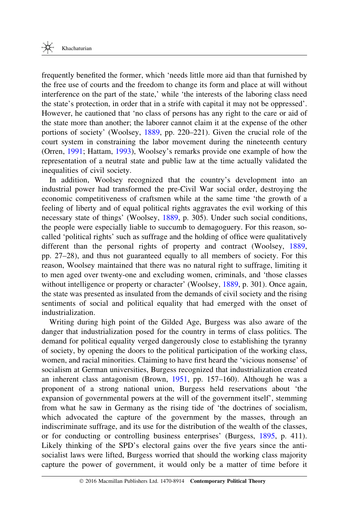frequently benefited the former, which 'needs little more aid than that furnished by the free use of courts and the freedom to change its form and place at will without interference on the part of the state,' while 'the interests of the laboring class need the state's protection, in order that in a strife with capital it may not be oppressed'. However, he cautioned that 'no class of persons has any right to the care or aid of the state more than another; the laborer cannot claim it at the expense of the other portions of society' (Woolsey, [1889](#page-20-0), pp. 220–221). Given the crucial role of the court system in constraining the labor movement during the nineteenth century (Orren, [1991;](#page-20-0) Hattam, [1993](#page-19-0)), Woolsey's remarks provide one example of how the representation of a neutral state and public law at the time actually validated the inequalities of civil society.

In addition, Woolsey recognized that the country's development into an industrial power had transformed the pre-Civil War social order, destroying the economic competitiveness of craftsmen while at the same time 'the growth of a feeling of liberty and of equal political rights aggravates the evil working of this necessary state of things' (Woolsey, [1889,](#page-20-0) p. 305). Under such social conditions, the people were especially liable to succumb to demagoguery. For this reason, socalled 'political rights' such as suffrage and the holding of office were qualitatively different than the personal rights of property and contract (Woolsey, [1889](#page-20-0), pp. 27–28), and thus not guaranteed equally to all members of society. For this reason, Woolsey maintained that there was no natural right to suffrage, limiting it to men aged over twenty-one and excluding women, criminals, and 'those classes without intelligence or property or character' (Woolsey, [1889](#page-20-0), p. 301). Once again, the state was presented as insulated from the demands of civil society and the rising sentiments of social and political equality that had emerged with the onset of industrialization.

Writing during high point of the Gilded Age, Burgess was also aware of the danger that industrialization posed for the country in terms of class politics. The demand for political equality verged dangerously close to establishing the tyranny of society, by opening the doors to the political participation of the working class, women, and racial minorities. Claiming to have first heard the 'vicious nonsense' of socialism at German universities, Burgess recognized that industrialization created an inherent class antagonism (Brown, [1951](#page-17-0), pp. 157–160). Although he was a proponent of a strong national union, Burgess held reservations about 'the expansion of governmental powers at the will of the government itself', stemming from what he saw in Germany as the rising tide of 'the doctrines of socialism, which advocated the capture of the government by the masses, through an indiscriminate suffrage, and its use for the distribution of the wealth of the classes, or for conducting or controlling business enterprises' (Burgess, [1895](#page-17-0), p. 411). Likely thinking of the SPD's electoral gains over the five years since the antisocialist laws were lifted, Burgess worried that should the working class majority capture the power of government, it would only be a matter of time before it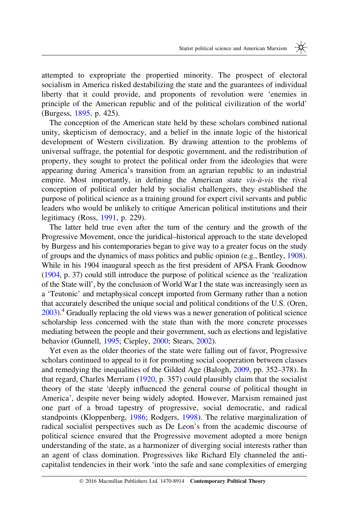attempted to expropriate the propertied minority. The prospect of electoral socialism in America risked destabilizing the state and the guarantees of individual liberty that it could provide, and proponents of revolution were 'enemies in principle of the American republic and of the political civilization of the world' (Burgess, [1895,](#page-17-0) p. 425).

The conception of the American state held by these scholars combined national unity, skepticism of democracy, and a belief in the innate logic of the historical development of Western civilization. By drawing attention to the problems of universal suffrage, the potential for despotic government, and the redistribution of property, they sought to protect the political order from the ideologies that were appearing during America's transition from an agrarian republic to an industrial empire. Most importantly, in defining the American state vis-à-vis the rival conception of political order held by socialist challengers, they established the purpose of political science as a training ground for expert civil servants and public leaders who would be unlikely to critique American political institutions and their legitimacy (Ross, [1991,](#page-20-0) p. 229).

The latter held true even after the turn of the century and the growth of the Progressive Movement, once the juridical–historical approach to the state developed by Burgess and his contemporaries began to give way to a greater focus on the study of groups and the dynamics of mass politics and public opinion (e.g., Bentley, [1908](#page-17-0)). While in his 1904 inaugural speech as the first president of APSA Frank Goodnow ([1904](#page-19-0), p. 37) could still introduce the purpose of political science as the 'realization of the State will', by the conclusion of World War I the state was increasingly seen as a 'Teutonic' and metaphysical concept imported from Germany rather than a notion that accurately described the unique social and political conditions of the U.S. (Oren, [2003](#page-20-0)).4 Gradually replacing the old views was a newer generation of political science scholarship less concerned with the state than with the more concrete processes mediating between the people and their government, such as elections and legislative behavior (Gunnell, [1995](#page-19-0); Ciepley, [2000;](#page-17-0) Stears, [2002](#page-20-0)).

Yet even as the older theories of the state were falling out of favor, Progressive scholars continued to appeal to it for promoting social cooperation between classes and remedying the inequalities of the Gilded Age (Balogh, [2009](#page-17-0), pp. 352–378). In that regard, Charles Merriam [\(1920](#page-20-0), p. 357) could plausibly claim that the socialist theory of the state 'deeply influenced the general course of political thought in America', despite never being widely adopted. However, Marxism remained just one part of a broad tapestry of progressive, social democratic, and radical standpoints (Kloppenberg, [1986](#page-19-0); Rodgers, [1998](#page-20-0)). The relative marginalization of radical socialist perspectives such as De Leon's from the academic discourse of political science ensured that the Progressive movement adopted a more benign understanding of the state, as a harmonizer of diverging social interests rather than an agent of class domination. Progressives like Richard Ely channeled the anticapitalist tendencies in their work 'into the safe and sane complexities of emerging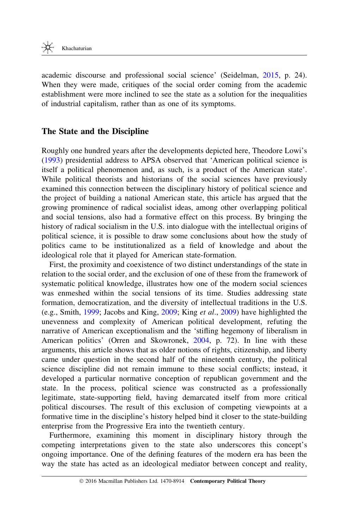academic discourse and professional social science' (Seidelman, [2015](#page-20-0), p. 24). When they were made, critiques of the social order coming from the academic establishment were more inclined to see the state as a solution for the inequalities of industrial capitalism, rather than as one of its symptoms.

## The State and the Discipline

Roughly one hundred years after the developments depicted here, Theodore Lowi's ([1993\)](#page-20-0) presidential address to APSA observed that 'American political science is itself a political phenomenon and, as such, is a product of the American state'. While political theorists and historians of the social sciences have previously examined this connection between the disciplinary history of political science and the project of building a national American state, this article has argued that the growing prominence of radical socialist ideas, among other overlapping political and social tensions, also had a formative effect on this process. By bringing the history of radical socialism in the U.S. into dialogue with the intellectual origins of political science, it is possible to draw some conclusions about how the study of politics came to be institutionalized as a field of knowledge and about the ideological role that it played for American state-formation.

First, the proximity and coexistence of two distinct understandings of the state in relation to the social order, and the exclusion of one of these from the framework of systematic political knowledge, illustrates how one of the modern social sciences was enmeshed within the social tensions of its time. Studies addressing state formation, democratization, and the diversity of intellectual traditions in the U.S. (e.g., Smith, [1999](#page-20-0); Jacobs and King, [2009](#page-19-0); King et al., [2009\)](#page-19-0) have highlighted the unevenness and complexity of American political development, refuting the narrative of American exceptionalism and the 'stifling hegemony of liberalism in American politics' (Orren and Skowronek, [2004,](#page-20-0) p. 72). In line with these arguments, this article shows that as older notions of rights, citizenship, and liberty came under question in the second half of the nineteenth century, the political science discipline did not remain immune to these social conflicts; instead, it developed a particular normative conception of republican government and the state. In the process, political science was constructed as a professionally legitimate, state-supporting field, having demarcated itself from more critical political discourses. The result of this exclusion of competing viewpoints at a formative time in the discipline's history helped bind it closer to the state-building enterprise from the Progressive Era into the twentieth century.

Furthermore, examining this moment in disciplinary history through the competing interpretations given to the state also underscores this concept's ongoing importance. One of the defining features of the modern era has been the way the state has acted as an ideological mediator between concept and reality,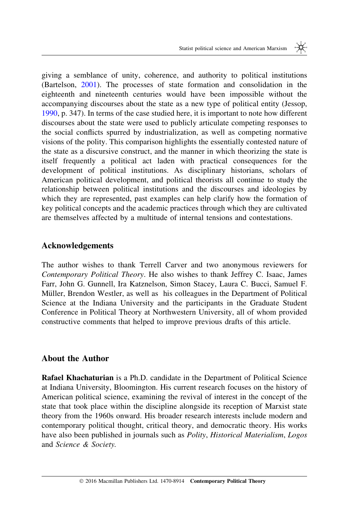giving a semblance of unity, coherence, and authority to political institutions (Bartelson, [2001](#page-17-0)). The processes of state formation and consolidation in the eighteenth and nineteenth centuries would have been impossible without the accompanying discourses about the state as a new type of political entity (Jessop, [1990](#page-19-0), p. 347). In terms of the case studied here, it is important to note how different discourses about the state were used to publicly articulate competing responses to the social conflicts spurred by industrialization, as well as competing normative visions of the polity. This comparison highlights the essentially contested nature of the state as a discursive construct, and the manner in which theorizing the state is itself frequently a political act laden with practical consequences for the development of political institutions. As disciplinary historians, scholars of American political development, and political theorists all continue to study the relationship between political institutions and the discourses and ideologies by which they are represented, past examples can help clarify how the formation of key political concepts and the academic practices through which they are cultivated are themselves affected by a multitude of internal tensions and contestations.

## Acknowledgements

The author wishes to thank Terrell Carver and two anonymous reviewers for Contemporary Political Theory. He also wishes to thank Jeffrey C. Isaac, James Farr, John G. Gunnell, Ira Katznelson, Simon Stacey, Laura C. Bucci, Samuel F. Müller, Brendon Westler, as well as his colleagues in the Department of Political Science at the Indiana University and the participants in the Graduate Student Conference in Political Theory at Northwestern University, all of whom provided constructive comments that helped to improve previous drafts of this article.

## About the Author

Rafael Khachaturian is a Ph.D. candidate in the Department of Political Science at Indiana University, Bloomington. His current research focuses on the history of American political science, examining the revival of interest in the concept of the state that took place within the discipline alongside its reception of Marxist state theory from the 1960s onward. His broader research interests include modern and contemporary political thought, critical theory, and democratic theory. His works have also been published in journals such as Polity, Historical Materialism, Logos and Science & Society.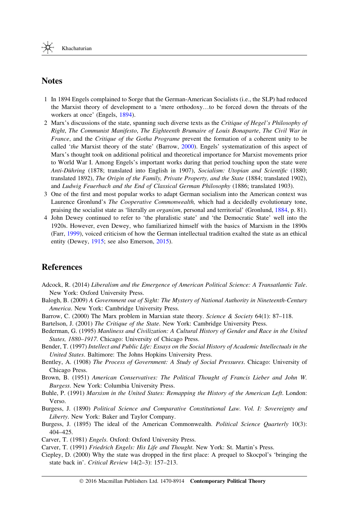#### <span id="page-17-0"></span>**Notes**

- 1 In 1894 Engels complained to Sorge that the German-American Socialists (i.e., the SLP) had reduced the Marxist theory of development to a 'mere orthodoxy…to be forced down the throats of the workers at once' (Engels, [1894](#page-18-0)).
- 2 Marx's discussions of the state, spanning such diverse texts as the Critique of Hegel's Philosophy of Right, The Communist Manifesto, The Eighteenth Brumaire of Louis Bonaparte, The Civil War in France, and the Critique of the Gotha Programe prevent the formation of a coherent unity to be called 'the Marxist theory of the state' (Barrow, 2000). Engels' systematization of this aspect of Marx's thought took on additional political and theoretical importance for Marxist movements prior to World War I. Among Engels's important works during that period touching upon the state were Anti-Dühring (1878; translated into English in 1907), Socialism: Utopian and Scientific (1880; translated 1892), The Origin of the Family, Private Property, and the State (1884; translated 1902), and Ludwig Feuerbach and the End of Classical German Philosophy (1886; translated 1903).
- 3 One of the first and most popular works to adapt German socialism into the American context was Laurence Gronlund's The Cooperative Commonwealth, which had a decidedly evolutionary tone, praising the socialist state as 'literally an organism, personal and territorial' (Gronlund, [1884](#page-19-0), p. 81).
- 4 John Dewey continued to refer to 'the pluralistic state' and 'the Democratic State' well into the 1920s. However, even Dewey, who familiarized himself with the basics of Marxism in the 1890s (Farr, [1999](#page-18-0)), voiced criticism of how the German intellectual tradition exalted the state as an ethical entity (Dewey, [1915;](#page-18-0) see also Emerson, [2015\)](#page-18-0).

## References

- Adcock, R. (2014) Liberalism and the Emergence of American Political Science: A Transatlantic Tale. New York: Oxford University Press.
- Balogh, B. (2009) A Government out of Sight: The Mystery of National Authority in Nineteenth-Century America. New York: Cambridge University Press.
- Barrow, C. (2000) The Marx problem in Marxian state theory. Science & Society 64(1): 87-118.

Bartelson, J. (2001) The Critique of the State. New York: Cambridge University Press.

- Bederman, G. (1995) Manliness and Civilization: A Cultural History of Gender and Race in the United States, 1880-1917. Chicago: University of Chicago Press.
- Bender, T. (1997) Intellect and Public Life: Essays on the Social History of Academic Intellectuals in the United States. Baltimore: The Johns Hopkins University Press.
- Bentley, A. (1908) The Process of Government: A Study of Social Pressures. Chicago: University of Chicago Press.
- Brown, B. (1951) American Conservatives: The Political Thought of Francis Lieber and John W. Burgess. New York: Columbia University Press.
- Buhle, P. (1991) Marxism in the United States: Remapping the History of the American Left. London: Verso.
- Burgess, J. (1890) Political Science and Comparative Constitutional Law. Vol. I: Sovereignty and Liberty. New York: Baker and Taylor Company.
- Burgess, J. (1895) The ideal of the American Commonwealth. Political Science Quarterly 10(3): 404–425.

Carver, T. (1981) Engels. Oxford: Oxford University Press.

Carver, T. (1991) Friedrich Engels: His Life and Thought. New York: St. Martin's Press.

Ciepley, D. (2000) Why the state was dropped in the first place: A prequel to Skocpol's 'bringing the state back in'. Critical Review 14(2–3): 157–213.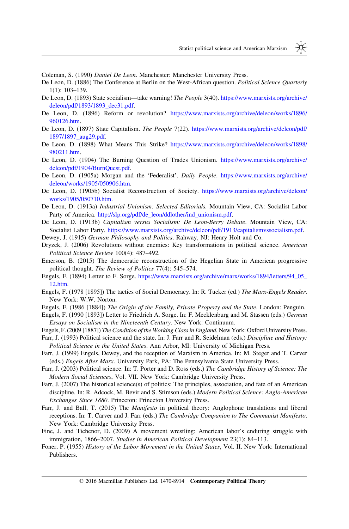- <span id="page-18-0"></span>Coleman, S. (1990) Daniel De Leon. Manchester: Manchester University Press.
- De Leon, D. (1886) The Conference at Berlin on the West-African question. Political Science Quarterly 1(1): 103–139.
- De Leon, D. (1893) State socialism—take warning! The People 3(40). [https://www.marxists.org/archive/](https://www.marxists.org/archive/deleon/pdf/1893/1893_dec31.pdf) [deleon/pdf/1893/1893\\_dec31.pdf](https://www.marxists.org/archive/deleon/pdf/1893/1893_dec31.pdf).
- De Leon, D. (1896) Reform or revolution? [https://www.marxists.org/archive/deleon/works/1896/](https://www.marxists.org/archive/deleon/works/1896/960126.htm) [960126.htm](https://www.marxists.org/archive/deleon/works/1896/960126.htm).
- De Leon, D. (1897) State Capitalism. The People 7(22). [https://www.marxists.org/archive/deleon/pdf/](https://www.marxists.org/archive/deleon/pdf/1897/1897_aug29.pdf) [1897/1897\\_aug29.pdf](https://www.marxists.org/archive/deleon/pdf/1897/1897_aug29.pdf).
- De Leon, D. (1898) What Means This Strike? [https://www.marxists.org/archive/deleon/works/1898/](https://www.marxists.org/archive/deleon/works/1898/980211.htm) [980211.htm](https://www.marxists.org/archive/deleon/works/1898/980211.htm).
- De Leon, D. (1904) The Burning Question of Trades Unionism. [https://www.marxists.org/archive/](https://www.marxists.org/archive/deleon/pdf/1904/BurnQuest.pdf) [deleon/pdf/1904/BurnQuest.pdf.](https://www.marxists.org/archive/deleon/pdf/1904/BurnQuest.pdf)
- De Leon, D. (1905a) Morgan and the 'Federalist'. Daily People. [https://www.marxists.org/archive/](https://www.marxists.org/archive/deleon/works/1905/050906.htm) [deleon/works/1905/050906.htm.](https://www.marxists.org/archive/deleon/works/1905/050906.htm)
- De Leon, D. (1905b) Socialist Reconstruction of Society. [https://www.marxists.org/archive/deleon/](https://www.marxists.org/archive/deleon/works/1905/050710.htm) [works/1905/050710.htm](https://www.marxists.org/archive/deleon/works/1905/050710.htm).
- De Leon, D. (1913a) Industrial Unionism: Selected Editorials. Mountain View, CA: Socialist Labor Party of America. [http://slp.org/pdf/de\\_leon/ddlother/ind\\_unionism.pdf.](http://slp.org/pdf/de_leon/ddlother/ind_unionism.pdf)
- De Leon, D. (1913b) Capitalism versus Socialism: De Leon-Berry Debate. Mountain View, CA: Socialist Labor Party. <https://www.marxists.org/archive/deleon/pdf/1913/capitalismvssocialism.pdf>.
- Dewey, J. (1915) German Philosophy and Politics. Rahway, NJ: Henry Holt and Co.
- Dryzek, J. (2006) Revolutions without enemies: Key transformations in political science. American Political Science Review 100(4): 487–492.
- Emerson, B. (2015) The democratic reconstruction of the Hegelian State in American progressive political thought. The Review of Politics 77(4): 545–574.
- Engels, F. (1894) Letter to F. Sorge. [https://www.marxists.org/archive/marx/works/1894/letters/94\\_05\\_](https://www.marxists.org/archive/marx/works/1894/letters/94_05_12.htm) [12.htm.](https://www.marxists.org/archive/marx/works/1894/letters/94_05_12.htm)
- Engels, F. (1978 [1895]) The tactics of Social Democracy. In: R. Tucker (ed.) The Marx-Engels Reader. New York: W.W. Norton.
- Engels, F. (1986 [1884]) The Origin of the Family, Private Property and the State. London: Penguin.
- Engels, F. (1990 [1893]) Letter to Friedrich A. Sorge. In: F. Mecklenburg and M. Stassen (eds.) German Essays on Socialism in the Nineteenth Century. New York: Continuum.
- Engels, F. (2009 [1887]) The Condition of the Working Class in England. New York: Oxford University Press.
- Farr, J. (1993) Political science and the state. In: J. Farr and R. Seidelman (eds.) Discipline and History: Political Science in the United States. Ann Arbor, MI: University of Michigan Press.
- Farr, J. (1999) Engels, Dewey, and the reception of Marxism in America. In: M. Steger and T. Carver (eds.) Engels After Marx. University Park, PA: The Pennsylvania State University Press.
- Farr, J. (2003) Political science. In: T. Porter and D. Ross (eds.) The Cambridge History of Science: The Modern Social Sciences, Vol. VII. New York: Cambridge University Press.
- Farr, J. (2007) The historical science(s) of politics: The principles, association, and fate of an American discipline. In: R. Adcock, M. Bevir and S. Stimson (eds.) Modern Political Science: Anglo-American Exchanges Since 1880. Princeton: Princeton University Press.
- Farr, J. and Ball, T. (2015) The Manifesto in political theory: Anglophone translations and liberal receptions. In: T. Carver and J. Farr (eds.) The Cambridge Companion to The Communist Manifesto. New York: Cambridge University Press.
- Fine, J. and Tichenor, D. (2009) A movement wrestling: American labor's enduring struggle with immigration, 1866–2007. Studies in American Political Development 23(1): 84–113.
- Foner, P. (1955) History of the Labor Movement in the United States, Vol. II. New York: International Publishers.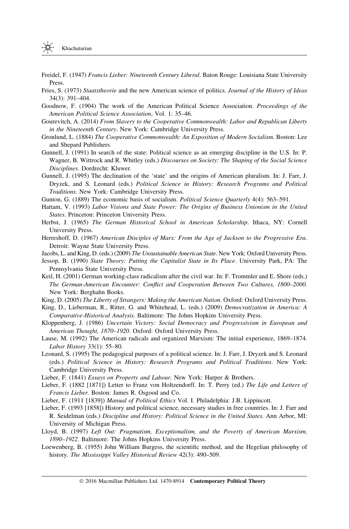- <span id="page-19-0"></span>Freidel, F. (1947) Francis Lieber: Nineteenth Century Liberal. Baton Rouge: Louisiana State University **Press**.
- Fries, S. (1973) Staatstheorie and the new American science of politics. Journal of the History of Ideas 34(3): 391–404.
- Goodnow, F. (1904) The work of the American Political Science Association. Proceedings of the American Political Science Association, Vol. 1: 35–46.
- Gourevitch, A. (2014) From Slavery to the Cooperative Commonwealth: Labor and Republican Liberty in the Nineteenth Century. New York: Cambridge University Press.
- Gronlund, L. (1884) The Cooperative Commonwealth: An Exposition of Modern Socialism. Boston: Lee and Shepard Publishers.
- Gunnell, J. (1991) In search of the state: Political science as an emerging discipline in the U.S. In: P. Wagner, B. Wittrock and R. Whitley (eds.) Discourses on Society: The Shaping of the Social Science Disciplines. Dordrecht: Kluwer.
- Gunnell, J. (1995) The declination of the 'state' and the origins of American pluralism. In: J. Farr, J. Dryzek, and S. Leonard (eds.) Political Science in History: Research Programs and Political Traditions. New York: Cambridge University Press.
- Gunton, G. (1889) The economic basis of socialism. *Political Science Quarterly* 4(4): 563–591.
- Hattam, V. (1993) Labor Visions and State Power: The Origins of Business Unionism in the United States. Princeton: Princeton University Press.
- Herbst, J. (1965) The German Historical School in American Scholarship. Ithaca, NY: Cornell University Press.
- Herreshoff, D. (1967) American Disciples of Marx: From the Age of Jackson to the Progressive Era. Detroit: Wayne State University Press.

Jacobs, L. and King, D. (eds.) (2009) The Unsustainable American State. New York: Oxford University Press.

- Jessop, B. (1990) State Theory: Putting the Capitalist State in Its Place. University Park, PA: The Pennsylvania State University Press.
- Keil, H. (2001) German working-class radicalism after the civil war. In: F. Trommler and E. Shore (eds.) The German-American Encounter: Conflict and Cooperation Between Two Cultures, 1800–2000. New York: Berghahn Books.
- King, D. (2005) The Liberty of Strangers: Making the American Nation. Oxford: Oxford University Press.
- King, D., Lieberman, R., Ritter, G. and Whitehead, L. (eds.) (2009) Democratization in America: A Comparative-Historical Analysis. Baltimore: The Johns Hopkins University Press.
- Kloppenberg, J. (1986) Uncertain Victory: Social Democracy and Progressivism in European and American Thought, 1870–1920. Oxford: Oxford University Press.
- Lause, M. (1992) The American radicals and organized Marxism: The initial experience, 1869–1874. Labor History 33(1): 55–80.
- Leonard, S. (1995) The pedagogical purposes of a political science. In: J. Farr, J. Dryzek and S. Leonard (eds.) Political Science in History: Research Programs and Political Traditions. New York: Cambridge University Press.
- Lieber, F. (1841) Essays on Property and Labour. New York: Harper & Brothers.
- Lieber, F. (1882 [1871]) Letter to Franz von Holtzendorff. In: T. Perry (ed.) The Life and Letters of Francis Lieber. Boston: James R. Osgood and Co.
- Lieber, F. (1911 [1839]) Manual of Political Ethics Vol. I. Philadelphia: J.B. Lippincott.
- Lieber, F. (1993 [1858]) History and political science, necessary studies in free countries. In: J. Farr and R. Seidelman (eds.) Discipline and History: Political Science in the United States. Ann Arbor, MI: University of Michigan Press.
- Lloyd, B. (1997) Left Out: Pragmatism, Exceptionalism, and the Poverty of American Marxism, 1890–1922. Baltimore: The Johns Hopkins University Press.
- Loewenberg, B. (1955) John William Burgess, the scientific method, and the Hegelian philosophy of history. The Mississippi Valley Historical Review 42(3): 490–509.